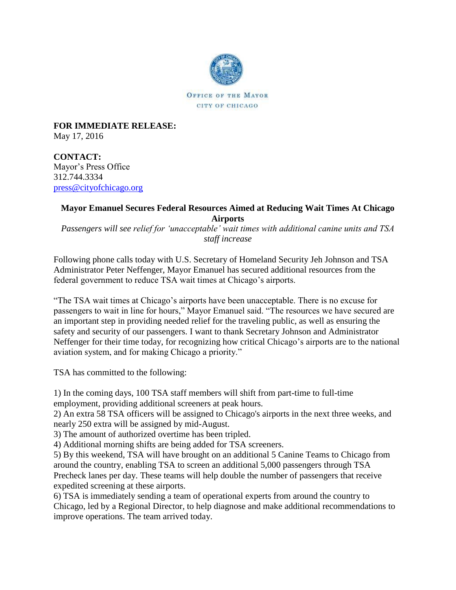

**FOR IMMEDIATE RELEASE:** May 17, 2016

**CONTACT:** Mayor's Press Office 312.744.3334 [press@cityofchicago.org](mailto:press@cityofchicago.org)

## **Mayor Emanuel Secures Federal Resources Aimed at Reducing Wait Times At Chicago Airports**

*Passengers will see relief for 'unacceptable' wait times with additional canine units and TSA staff increase*

Following phone calls today with U.S. Secretary of Homeland Security Jeh Johnson and TSA Administrator Peter Neffenger, Mayor Emanuel has secured additional resources from the federal government to reduce TSA wait times at Chicago's airports.

"The TSA wait times at Chicago's airports have been unacceptable. There is no excuse for passengers to wait in line for hours," Mayor Emanuel said. "The resources we have secured are an important step in providing needed relief for the traveling public, as well as ensuring the safety and security of our passengers. I want to thank Secretary Johnson and Administrator Neffenger for their time today, for recognizing how critical Chicago's airports are to the national aviation system, and for making Chicago a priority."

TSA has committed to the following:

1) In the coming days, 100 TSA staff members will shift from part-time to full-time employment, providing additional screeners at peak hours.

2) An extra 58 TSA officers will be assigned to Chicago's airports in the next three weeks, and nearly 250 extra will be assigned by mid-August.

3) The amount of authorized overtime has been tripled.

4) Additional morning shifts are being added for TSA screeners.

5) By this weekend, TSA will have brought on an additional 5 Canine Teams to Chicago from around the country, enabling TSA to screen an additional 5,000 passengers through TSA Precheck lanes per day. These teams will help double the number of passengers that receive expedited screening at these airports.

6) TSA is immediately sending a team of operational experts from around the country to Chicago, led by a Regional Director, to help diagnose and make additional recommendations to improve operations. The team arrived today.